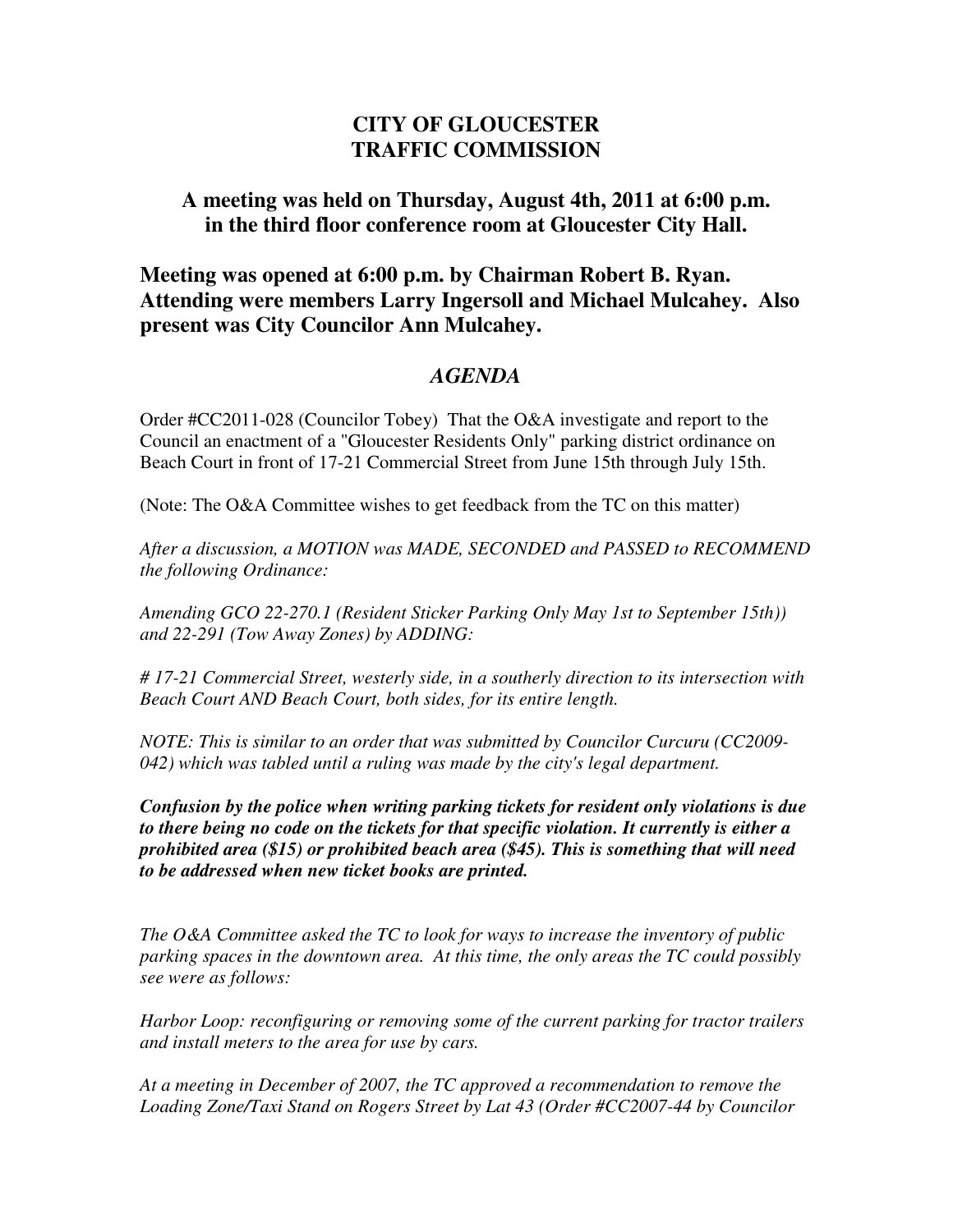## **CITY OF GLOUCESTER TRAFFIC COMMISSION**

## **A meeting was held on Thursday, August 4th, 2011 at 6:00 p.m. in the third floor conference room at Gloucester City Hall.**

**Meeting was opened at 6:00 p.m. by Chairman Robert B. Ryan. Attending were members Larry Ingersoll and Michael Mulcahey. Also present was City Councilor Ann Mulcahey.**

## *AGENDA*

Order #CC2011-028 (Councilor Tobey) That the O&A investigate and report to the Council an enactment of a "Gloucester Residents Only" parking district ordinance on Beach Court in front of 17-21 Commercial Street from June 15th through July 15th.

(Note: The O&A Committee wishes to get feedback from the TC on this matter)

*After a discussion, a MOTION was MADE, SECONDED and PASSED to RECOMMEND the following Ordinance:* 

*Amending GCO 22-270.1 (Resident Sticker Parking Only May 1st to September 15th)) and 22-291 (Tow Away Zones) by ADDING:* 

*# 17-21 Commercial Street, westerly side, in a southerly direction to its intersection with Beach Court AND Beach Court, both sides, for its entire length.* 

*NOTE: This is similar to an order that was submitted by Councilor Curcuru (CC2009- 042) which was tabled until a ruling was made by the city's legal department.* 

*Confusion by the police when writing parking tickets for resident only violations is due to there being no code on the tickets for that specific violation. It currently is either a prohibited area (\$15) or prohibited beach area (\$45). This is something that will need to be addressed when new ticket books are printed.* 

*The O&A Committee asked the TC to look for ways to increase the inventory of public parking spaces in the downtown area. At this time, the only areas the TC could possibly see were as follows:* 

*Harbor Loop: reconfiguring or removing some of the current parking for tractor trailers and install meters to the area for use by cars.* 

*At a meeting in December of 2007, the TC approved a recommendation to remove the Loading Zone/Taxi Stand on Rogers Street by Lat 43 (Order #CC2007-44 by Councilor*